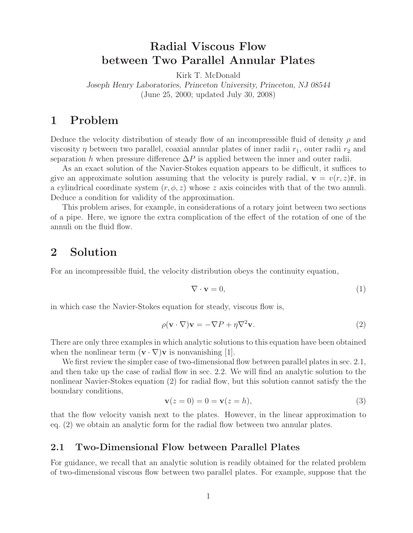# **Radial Viscous Flow between Two Parallel Annular Plates**

Kirk T. McDonald

*Joseph Henry Laboratories, Princeton University, Princeton, NJ 08544* (June 25, 2000; updated July 30, 2008)

## **1 Problem**

Deduce the velocity distribution of steady flow of an incompressible fluid of density  $\rho$  and viscosity  $\eta$  between two parallel, coaxial annular plates of inner radii  $r_1$ , outer radii  $r_2$  and separation h when pressure difference  $\Delta P$  is applied between the inner and outer radii.

As an exact solution of the Navier-Stokes equation appears to be difficult, it suffices to give an approximate solution assuming that the velocity is purely radial,  $\mathbf{v} = v(r, z)\hat{\mathbf{r}}$ , in a cylindrical coordinate system  $(r, \phi, z)$  whose z axis coincides with that of the two annuli. Deduce a condition for validity of the approximation.

This problem arises, for example, in considerations of a rotary joint between two sections of a pipe. Here, we ignore the extra complication of the effect of the rotation of one of the annuli on the fluid flow.

### **2 Solution**

For an incompressible fluid, the velocity distribution obeys the continuity equation,

$$
\nabla \cdot \mathbf{v} = 0,\tag{1}
$$

in which case the Navier-Stokes equation for steady, viscous flow is,

$$
\rho(\mathbf{v} \cdot \nabla)\mathbf{v} = -\nabla P + \eta \nabla^2 \mathbf{v}.
$$
\n(2)

There are only three examples in which analytic solutions to this equation have been obtained when the nonlinear term  $(\mathbf{v} \cdot \nabla) \mathbf{v}$  is nonvanishing [1].

We first review the simpler case of two-dimensional flow between parallel plates in sec. 2.1, and then take up the case of radial flow in sec. 2.2. We will find an analytic solution to the nonlinear Navier-Stokes equation (2) for radial flow, but this solution cannot satisfy the the boundary conditions,

$$
\mathbf{v}(z=0) = 0 = \mathbf{v}(z=h),\tag{3}
$$

that the flow velocity vanish next to the plates. However, in the linear approximation to eq. (2) we obtain an analytic form for the radial flow between two annular plates.

#### **2.1 Two-Dimensional Flow between Parallel Plates**

For guidance, we recall that an analytic solution is readily obtained for the related problem of two-dimensional viscous flow between two parallel plates. For example, suppose that the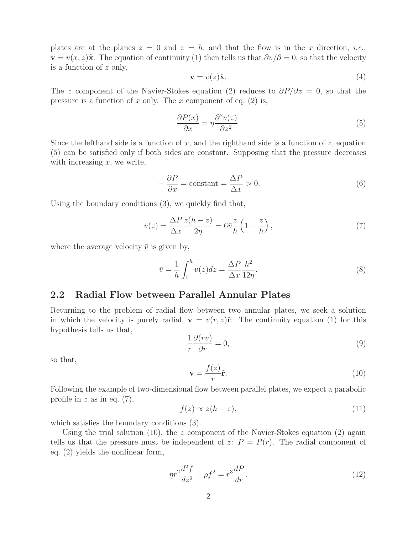plates are at the planes  $z = 0$  and  $z = h$ , and that the flow is in the x direction, *i.e.*,  $\mathbf{v} = v(x, z)\hat{\mathbf{x}}$ . The equation of continuity (1) then tells us that  $\partial v/\partial = 0$ , so that the velocity is a function of z only,

$$
\mathbf{v} = v(z)\hat{\mathbf{x}}.\tag{4}
$$

The z component of the Navier-Stokes equation (2) reduces to  $\partial P/\partial z = 0$ , so that the pressure is a function of x only. The x component of eq.  $(2)$  is,

$$
\frac{\partial P(x)}{\partial x} = \eta \frac{\partial^2 v(z)}{\partial z^2}.
$$
\n(5)

Since the lefthand side is a function of x, and the righthand side is a function of  $z$ , equation (5) can be satisfied only if both sides are constant. Supposing that the pressure decreases with increasing  $x$ , we write,

$$
-\frac{\partial P}{\partial x} = \text{constant} = \frac{\Delta P}{\Delta x} > 0.
$$
 (6)

Using the boundary conditions (3), we quickly find that,

$$
v(z) = \frac{\Delta P}{\Delta x} \frac{z(h-z)}{2\eta} = 6\bar{v}\frac{z}{h} \left(1 - \frac{z}{h}\right),\tag{7}
$$

where the average velocity  $\bar{v}$  is given by,

$$
\bar{v} = \frac{1}{h} \int_0^h v(z) dz = \frac{\Delta P}{\Delta x} \frac{h^2}{12\eta}.
$$
\n(8)

#### **2.2 Radial Flow between Parallel Annular Plates**

Returning to the problem of radial flow between two annular plates, we seek a solution in which the velocity is purely radial,  $\mathbf{v} = v(r, z)\hat{\mathbf{r}}$ . The continuity equation (1) for this hypothesis tells us that,

$$
\frac{1}{r}\frac{\partial (rv)}{\partial r} = 0,\tag{9}
$$

so that,

$$
\mathbf{v} = \frac{f(z)}{r}\hat{\mathbf{r}}.\tag{10}
$$

Following the example of two-dimensional flow between parallel plates, we expect a parabolic profile in z as in eq.  $(7)$ ,

$$
f(z) \propto z(h-z),\tag{11}
$$

which satisfies the boundary conditions (3).

Using the trial solution  $(10)$ , the z component of the Navier-Stokes equation  $(2)$  again tells us that the pressure must be independent of z:  $P = P(r)$ . The radial component of eq. (2) yields the nonlinear form,

$$
\eta r^2 \frac{d^2 f}{dz^2} + \rho f^2 = r^3 \frac{dP}{dr}.\tag{12}
$$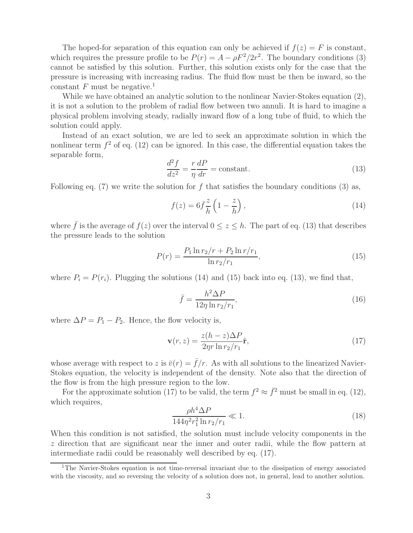The hoped-for separation of this equation can only be achieved if  $f(z) = F$  is constant, which requires the pressure profile to be  $P(r) = A - \rho F^2/2r^2$ . The boundary conditions (3) cannot be satisfied by this solution. Further, this solution exists only for the case that the pressure is increasing with increasing radius. The fluid flow must be then be inward, so the constant F must be negative.<sup>1</sup>

While we have obtained an analytic solution to the nonlinear Navier-Stokes equation (2), it is not a solution to the problem of radial flow between two annuli. It is hard to imagine a physical problem involving steady, radially inward flow of a long tube of fluid, to which the solution could apply.

Instead of an exact solution, we are led to seek an approximate solution in which the nonlinear term  $f^2$  of eq. (12) can be ignored. In this case, the differential equation takes the separable form,

$$
\frac{d^2f}{dz^2} = \frac{r}{\eta} \frac{dP}{dr} = \text{constant.}
$$
\n(13)

Following eq. (7) we write the solution for f that satisfies the boundary conditions (3) as,

$$
f(z) = 6\bar{f}\frac{z}{h}\left(1 - \frac{z}{h}\right),\tag{14}
$$

where  $\bar{f}$  is the average of  $f(z)$  over the interval  $0 \leq z \leq h$ . The part of eq. (13) that describes the pressure leads to the solution

$$
P(r) = \frac{P_1 \ln r_2 / r + P_2 \ln r / r_1}{\ln r_2 / r_1},\tag{15}
$$

where  $P_i = P(r_i)$ . Plugging the solutions (14) and (15) back into eq. (13), we find that,

$$
\bar{f} = \frac{h^2 \Delta P}{12\eta \ln r_2/r_1},\tag{16}
$$

where  $\Delta P = P_1 - P_2$ . Hence, the flow velocity is,

$$
\mathbf{v}(r,z) = \frac{z(h-z)\Delta P}{2\eta r \ln r_2/r_1}\hat{\mathbf{r}},\tag{17}
$$

whose average with respect to z is  $\bar{v}(r) = \bar{f}/r$ . As with all solutions to the linearized Navier-Stokes equation, the velocity is independent of the density. Note also that the direction of the flow is from the high pressure region to the low.

For the approximate solution (17) to be valid, the term  $f^2 \approx \bar{f}^2$  must be small in eq. (12), which requires,

$$
\frac{\rho h^4 \Delta P}{144\eta^2 r_1^2 \ln r_2/r_1} \ll 1. \tag{18}
$$

When this condition is not satisfied, the solution must include velocity components in the z direction that are significant near the inner and outer radii, while the flow pattern at intermediate radii could be reasonably well described by eq. (17).

<sup>&</sup>lt;sup>1</sup>The Navier-Stokes equation is not time-reversal invariant due to the dissipation of energy associated with the viscosity, and so reversing the velocity of a solution does not, in general, lead to another solution.